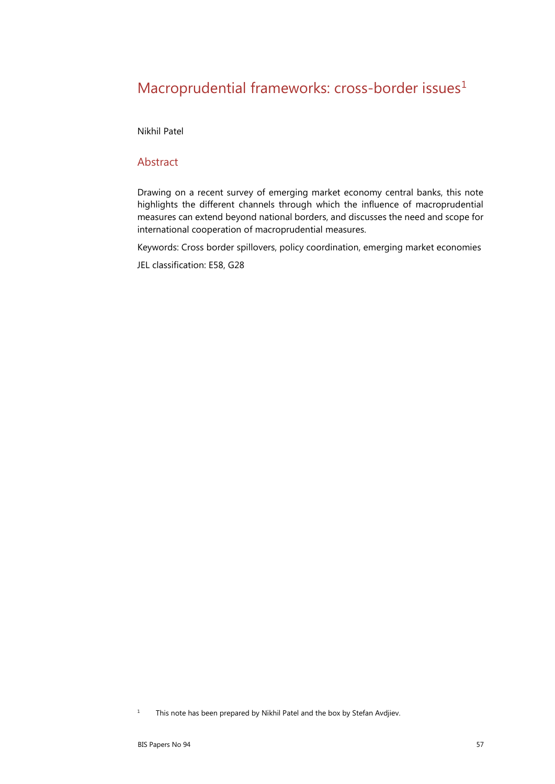# Macroprudential frameworks: cross-border issues<sup>[1](#page-0-0)</sup>

Nikhil Patel

#### Abstract

Drawing on a recent survey of emerging market economy central banks, this note highlights the different channels through which the influence of macroprudential measures can extend beyond national borders, and discusses the need and scope for international cooperation of macroprudential measures.

Keywords: Cross border spillovers, policy coordination, emerging market economies

JEL classification: E58, G28

<span id="page-0-0"></span><sup>&</sup>lt;sup>1</sup> This note has been prepared by Nikhil Patel and the box by Stefan Avdjiev.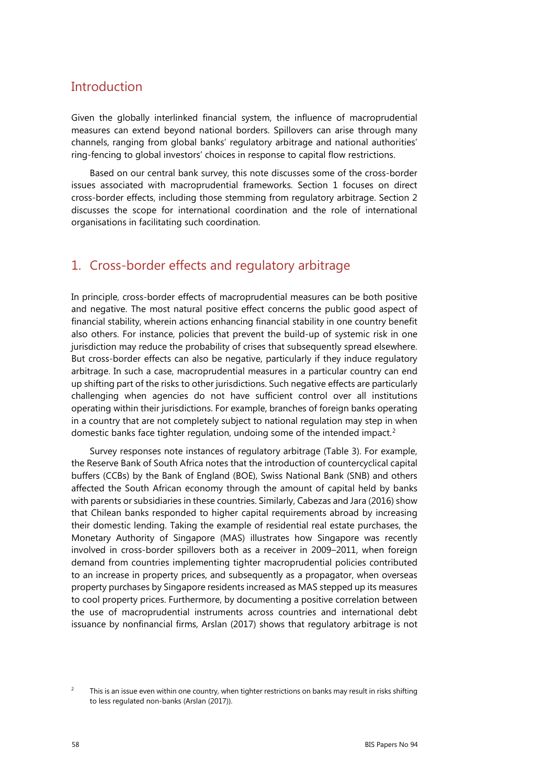### **Introduction**

Given the globally interlinked financial system, the influence of macroprudential measures can extend beyond national borders. Spillovers can arise through many channels, ranging from global banks' regulatory arbitrage and national authorities' ring-fencing to global investors' choices in response to capital flow restrictions.

Based on our central bank survey, this note discusses some of the cross-border issues associated with macroprudential frameworks. Section 1 focuses on direct cross-border effects, including those stemming from regulatory arbitrage. Section 2 discusses the scope for international coordination and the role of international organisations in facilitating such coordination.

### 1. Cross-border effects and regulatory arbitrage

In principle, cross-border effects of macroprudential measures can be both positive and negative. The most natural positive effect concerns the public good aspect of financial stability, wherein actions enhancing financial stability in one country benefit also others. For instance, policies that prevent the build-up of systemic risk in one jurisdiction may reduce the probability of crises that subsequently spread elsewhere. But cross-border effects can also be negative, particularly if they induce regulatory arbitrage. In such a case, macroprudential measures in a particular country can end up shifting part of the risks to other jurisdictions. Such negative effects are particularly challenging when agencies do not have sufficient control over all institutions operating within their jurisdictions. For example, branches of foreign banks operating in a country that are not completely subject to national regulation may step in when domestic banks face tighter regulation, undoing some of the intended impact.[2](#page-1-0)

Survey responses note instances of regulatory arbitrage (Table 3). For example, the Reserve Bank of South Africa notes that the introduction of countercyclical capital buffers (CCBs) by the Bank of England (BOE), Swiss National Bank (SNB) and others affected the South African economy through the amount of capital held by banks with parents or subsidiaries in these countries. Similarly, Cabezas and Jara (2016) show that Chilean banks responded to higher capital requirements abroad by increasing their domestic lending. Taking the example of residential real estate purchases, the Monetary Authority of Singapore (MAS) illustrates how Singapore was recently involved in cross-border spillovers both as a receiver in 2009–2011, when foreign demand from countries implementing tighter macroprudential policies contributed to an increase in property prices, and subsequently as a propagator, when overseas property purchases by Singapore residents increased as MAS stepped up its measures to cool property prices. Furthermore, by documenting a positive correlation between the use of macroprudential instruments across countries and international debt issuance by nonfinancial firms, Arslan (2017) shows that regulatory arbitrage is not

<span id="page-1-0"></span><sup>2</sup> This is an issue even within one country, when tighter restrictions on banks may result in risks shifting to less regulated non-banks (Arslan (2017)).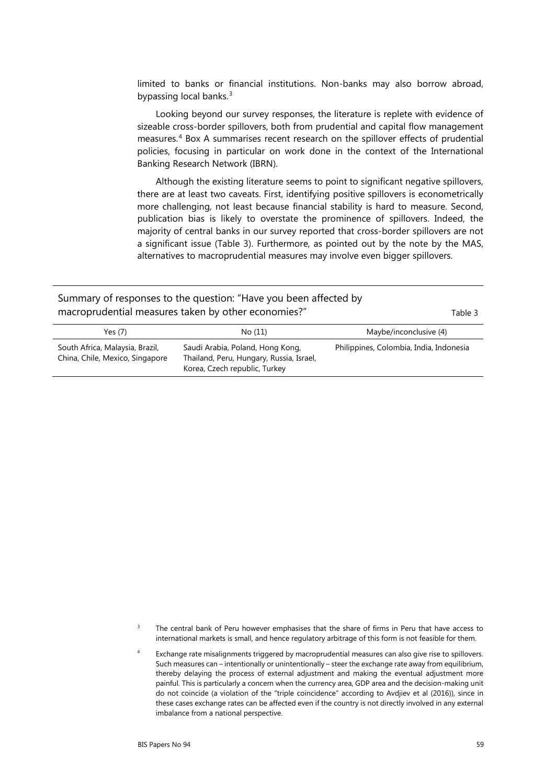limited to banks or financial institutions. Non-banks may also borrow abroad, bypassing local banks.<sup>[3](#page-2-0)</sup>

Looking beyond our survey responses, the literature is replete with evidence of sizeable cross-border spillovers, both from prudential and capital flow management measures.[4](#page-2-1) Box A summarises recent research on the spillover effects of prudential policies, focusing in particular on work done in the context of the International Banking Research Network (IBRN).

Although the existing literature seems to point to significant negative spillovers, there are at least two caveats. First, identifying positive spillovers is econometrically more challenging, not least because financial stability is hard to measure. Second, publication bias is likely to overstate the prominence of spillovers. Indeed, the majority of central banks in our survey reported that cross-border spillovers are not a significant issue (Table 3). Furthermore, as pointed out by the note by the MAS, alternatives to macroprudential measures may involve even bigger spillovers.

| Summary of responses to the question: "Have you been affected by<br>macroprudential measures taken by other economies?"<br>Table 3 |                                                                              |                                         |
|------------------------------------------------------------------------------------------------------------------------------------|------------------------------------------------------------------------------|-----------------------------------------|
| Yes $(7)$                                                                                                                          | No (11)                                                                      | Maybe/inconclusive (4)                  |
| South Africa, Malaysia, Brazil,<br>China, Chile, Mexico, Singapore                                                                 | Saudi Arabia, Poland, Hong Kong,<br>Thailand, Peru, Hungary, Russia, Israel, | Philippines, Colombia, India, Indonesia |

Korea, Czech republic, Turkey

<span id="page-2-1"></span><span id="page-2-0"></span><sup>3</sup> The central bank of Peru however emphasises that the share of firms in Peru that have access to international markets is small, and hence regulatory arbitrage of this form is not feasible for them.

Exchange rate misalignments triggered by macroprudential measures can also give rise to spillovers. Such measures can – intentionally or unintentionally – steer the exchange rate away from equilibrium, thereby delaying the process of external adjustment and making the eventual adjustment more painful. This is particularly a concern when the currency area, GDP area and the decision-making unit do not coincide (a violation of the "triple coincidence" according to Avdjiev et al (2016)), since in these cases exchange rates can be affected even if the country is not directly involved in any external imbalance from a national perspective.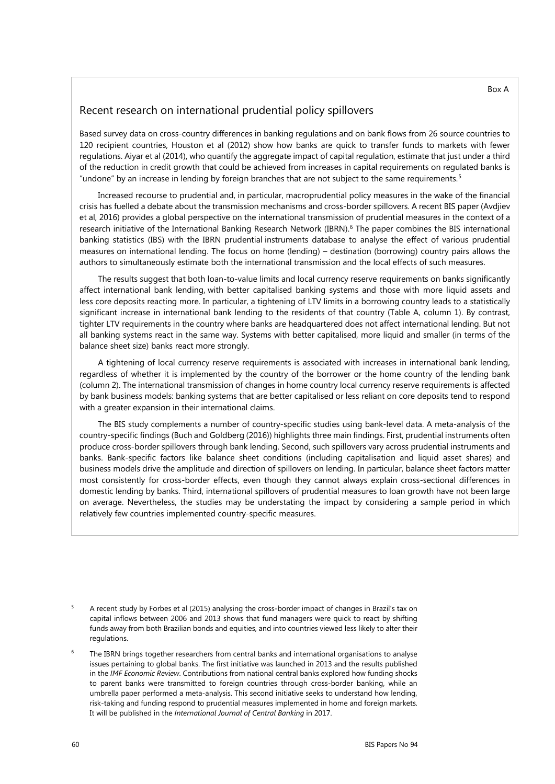#### Recent research on international prudential policy spillovers

Based survey data on cross-country differences in banking regulations and on bank flows from 26 source countries to 120 recipient countries, Houston et al (2012) show how banks are quick to transfer funds to markets with fewer regulations. Aiyar et al (2014), who quantify the aggregate impact of capital regulation, estimate that just under a third of the reduction in credit growth that could be achieved from increases in capital requirements on regulated banks is "undone" by an increase in lending by foreign branches that are not subject to the same requirements.  $5$ 

Increased recourse to prudential and, in particular, macroprudential policy measures in the wake of the financial crisis has fuelled a debate about the transmission mechanisms and cross-border spillovers. A recent BIS paper (Avdjiev et al, 2016) provides a global perspective on the international transmission of prudential measures in the context of a research initiative of the International Banking Research Network (IBRN).<sup>6</sup> The paper combines the BIS international banking statistics (IBS) with the IBRN prudential instruments database to analyse the effect of various prudential measures on international lending. The focus on home (lending) – destination (borrowing) country pairs allows the authors to simultaneously estimate both the international transmission and the local effects of such measures.

The results suggest that both loan-to-value limits and local currency reserve requirements on banks significantly affect international bank lending, with better capitalised banking systems and those with more liquid assets and less core deposits reacting more. In particular, a tightening of LTV limits in a borrowing country leads to a statistically significant increase in international bank lending to the residents of that country (Table A, column 1). By contrast, tighter LTV requirements in the country where banks are headquartered does not affect international lending. But not all banking systems react in the same way. Systems with better capitalised, more liquid and smaller (in terms of the balance sheet size) banks react more strongly.

A tightening of local currency reserve requirements is associated with increases in international bank lending, regardless of whether it is implemented by the country of the borrower or the home country of the lending bank (column 2). The international transmission of changes in home country local currency reserve requirements is affected by bank business models: banking systems that are better capitalised or less reliant on core deposits tend to respond with a greater expansion in their international claims.

The BIS study complements a number of country-specific studies using bank-level data. A meta-analysis of the country-specific findings (Buch and Goldberg (2016)) highlights three main findings. First, prudential instruments often produce cross-border spillovers through bank lending. Second, such spillovers vary across prudential instruments and banks. Bank-specific factors like balance sheet conditions (including capitalisation and liquid asset shares) and business models drive the amplitude and direction of spillovers on lending. In particular, balance sheet factors matter most consistently for cross-border effects, even though they cannot always explain cross-sectional differences in domestic lending by banks. Third, international spillovers of prudential measures to loan growth have not been large on average. Nevertheless, the studies may be understating the impact by considering a sample period in which relatively few countries implemented country-specific measures.

- <span id="page-3-0"></span><sup>5</sup> A recent study by Forbes et al (2015) analysing the cross-border impact of changes in Brazil's tax on capital inflows between 2006 and 2013 shows that fund managers were quick to react by shifting funds away from both Brazilian bonds and equities, and into countries viewed less likely to alter their regulations.
- <span id="page-3-1"></span>The IBRN brings together researchers from central banks and international organisations to analyse issues pertaining to global banks. The first initiative was launched in 2013 and the results published in the *IMF Economic Review*. Contributions from national central banks explored how funding shocks to parent banks were transmitted to foreign countries through cross-border banking, while an umbrella paper performed a meta-analysis. This second initiative seeks to understand how lending, risk-taking and funding respond to prudential measures implemented in home and foreign markets. It will be published in the *International Journal of Central Banking* in 2017.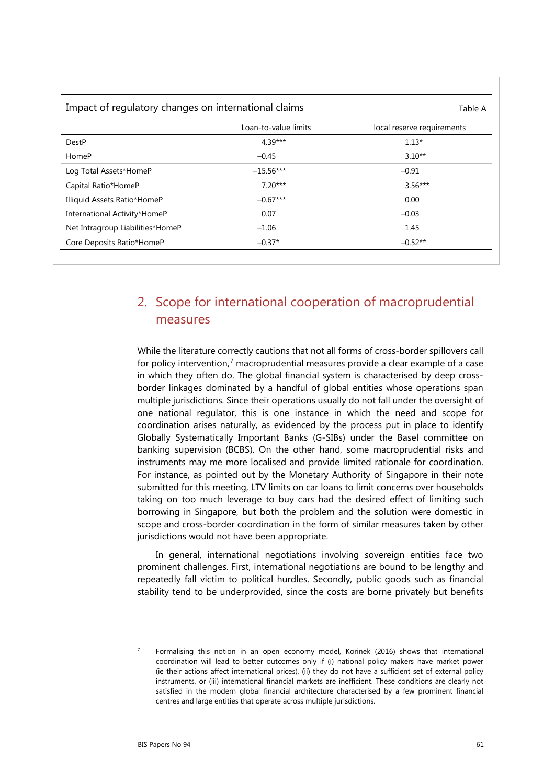| Impact of regulatory changes on international claims |                      | Table A                    |  |
|------------------------------------------------------|----------------------|----------------------------|--|
|                                                      | Loan-to-value limits | local reserve requirements |  |
| DestP                                                | $4.39***$            | $1.13*$                    |  |
| HomeP                                                | $-0.45$              | $3.10**$                   |  |
| Log Total Assets*HomeP                               | $-15.56***$          | $-0.91$                    |  |
| Capital Ratio*HomeP                                  | $7.20***$            | $3.56***$                  |  |
| Illiquid Assets Ratio*HomeP                          | $-0.67***$           | 0.00                       |  |
| International Activity*HomeP                         | 0.07                 | $-0.03$                    |  |
| Net Intragroup Liabilities*HomeP                     | $-1.06$              | 1.45                       |  |
| Core Deposits Ratio*HomeP                            | $-0.37*$             | $-0.52**$                  |  |

## 2. Scope for international cooperation of macroprudential measures

While the literature correctly cautions that not all forms of cross-border spillovers call for policy intervention, [7](#page-4-0) macroprudential measures provide a clear example of a case in which they often do. The global financial system is characterised by deep crossborder linkages dominated by a handful of global entities whose operations span multiple jurisdictions. Since their operations usually do not fall under the oversight of one national regulator, this is one instance in which the need and scope for coordination arises naturally, as evidenced by the process put in place to identify Globally Systematically Important Banks (G-SIBs) under the Basel committee on banking supervision (BCBS). On the other hand, some macroprudential risks and instruments may me more localised and provide limited rationale for coordination. For instance, as pointed out by the Monetary Authority of Singapore in their note submitted for this meeting, LTV limits on car loans to limit concerns over households taking on too much leverage to buy cars had the desired effect of limiting such borrowing in Singapore, but both the problem and the solution were domestic in scope and cross-border coordination in the form of similar measures taken by other jurisdictions would not have been appropriate.

In general, international negotiations involving sovereign entities face two prominent challenges. First, international negotiations are bound to be lengthy and repeatedly fall victim to political hurdles. Secondly, public goods such as financial stability tend to be underprovided, since the costs are borne privately but benefits

<span id="page-4-0"></span><sup>7</sup> Formalising this notion in an open economy model, Korinek (2016) shows that international coordination will lead to better outcomes only if (i) national policy makers have market power (ie their actions affect international prices), (ii) they do not have a sufficient set of external policy instruments, or (iii) international financial markets are inefficient. These conditions are clearly not satisfied in the modern global financial architecture characterised by a few prominent financial centres and large entities that operate across multiple jurisdictions.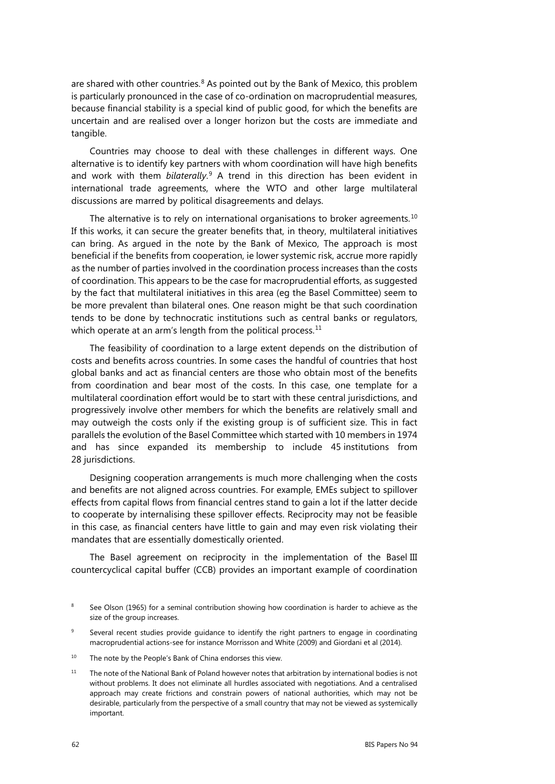are shared with other countries.<sup>[8](#page-5-0)</sup> As pointed out by the Bank of Mexico, this problem is particularly pronounced in the case of co-ordination on macroprudential measures, because financial stability is a special kind of public good, for which the benefits are uncertain and are realised over a longer horizon but the costs are immediate and tangible.

Countries may choose to deal with these challenges in different ways. One alternative is to identify key partners with whom coordination will have high benefits and work with them *bilaterally*. [9](#page-5-1) A trend in this direction has been evident in international trade agreements, where the WTO and other large multilateral discussions are marred by political disagreements and delays.

The alternative is to rely on international organisations to broker agreements. $10$ If this works, it can secure the greater benefits that, in theory, multilateral initiatives can bring. As argued in the note by the Bank of Mexico, The approach is most beneficial if the benefits from cooperation, ie lower systemic risk, accrue more rapidly as the number of parties involved in the coordination process increases than the costs of coordination. This appears to be the case for macroprudential efforts, as suggested by the fact that multilateral initiatives in this area (eg the Basel Committee) seem to be more prevalent than bilateral ones. One reason might be that such coordination tends to be done by technocratic institutions such as central banks or regulators, which operate at an arm's length from the political process.<sup>[11](#page-5-3)</sup>

The feasibility of coordination to a large extent depends on the distribution of costs and benefits across countries. In some cases the handful of countries that host global banks and act as financial centers are those who obtain most of the benefits from coordination and bear most of the costs. In this case, one template for a multilateral coordination effort would be to start with these central jurisdictions, and progressively involve other members for which the benefits are relatively small and may outweigh the costs only if the existing group is of sufficient size. This in fact parallels the evolution of the Basel Committee which started with 10 members in 1974 and has since expanded its membership to include 45 institutions from 28 jurisdictions.

Designing cooperation arrangements is much more challenging when the costs and benefits are not aligned across countries. For example, EMEs subject to spillover effects from capital flows from financial centres stand to gain a lot if the latter decide to cooperate by internalising these spillover effects. Reciprocity may not be feasible in this case, as financial centers have little to gain and may even risk violating their mandates that are essentially domestically oriented.

The Basel agreement on reciprocity in the implementation of the Basel III countercyclical capital buffer (CCB) provides an important example of coordination

<span id="page-5-0"></span>See Olson (1965) for a seminal contribution showing how coordination is harder to achieve as the size of the group increases.

<span id="page-5-1"></span>Several recent studies provide guidance to identify the right partners to engage in coordinating macroprudential actions-see for instance Morrisson and White (2009) and Giordani et al (2014).

<span id="page-5-2"></span><sup>&</sup>lt;sup>10</sup> The note by the People's Bank of China endorses this view.

<span id="page-5-3"></span><sup>&</sup>lt;sup>11</sup> The note of the National Bank of Poland however notes that arbitration by international bodies is not without problems. It does not eliminate all hurdles associated with negotiations. And a centralised approach may create frictions and constrain powers of national authorities, which may not be desirable, particularly from the perspective of a small country that may not be viewed as systemically important.